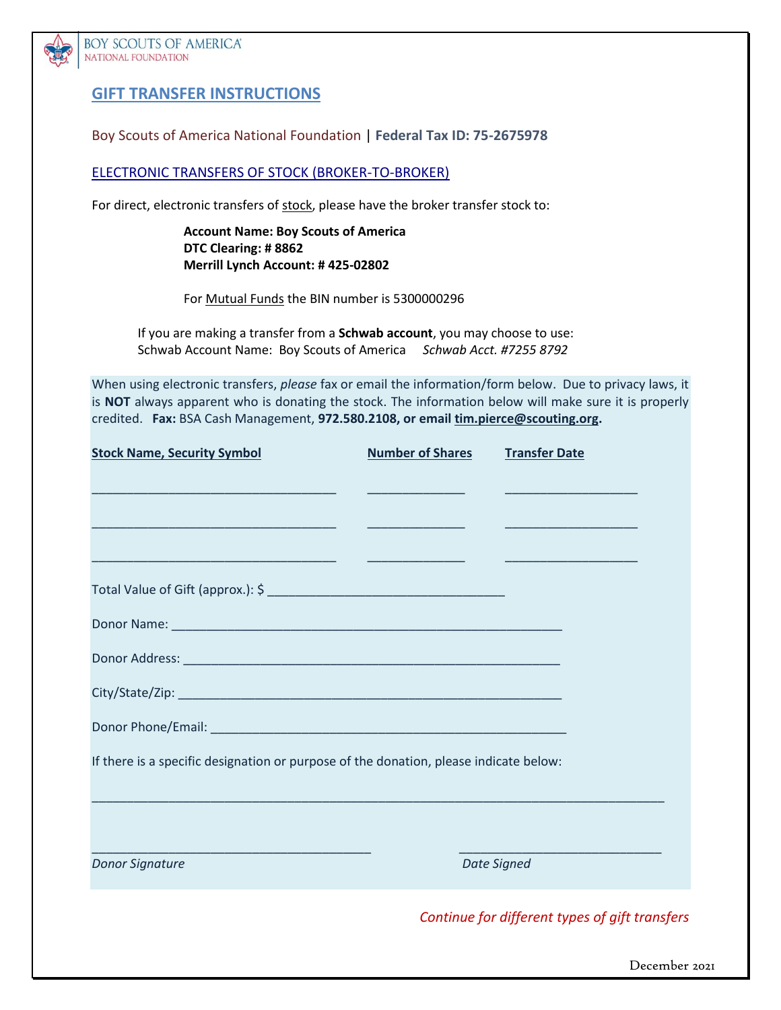

**BOY SCOUTS OF AMERICA®** NATIONAL FOUNDATION

# **GIFT TRANSFER INSTRUCTIONS**

Boy Scouts of America National Foundation | **Federal Tax ID: 75-2675978**

ELECTRONIC TRANSFERS OF STOCK (BROKER-TO-BROKER)

For direct, electronic transfers of stock, please have the broker transfer stock to:

**Account Name: Boy Scouts of America DTC Clearing: # 8862 Merrill Lynch Account: # 425-02802**

For Mutual Funds the BIN number is 5300000296

If you are making a transfer from a **Schwab account**, you may choose to use: Schwab Account Name: Boy Scouts of America *Schwab Acct. #7255 8792*

When using electronic transfers, *please* fax or email the information/form below. Due to privacy laws, it is **NOT** always apparent who is donating the stock. The information below will make sure it is properly credited. **Fax:** BSA Cash Management, **972.580.2108, or email [tim.pierce@scouting.org.](mailto:tim.pierce@scouting.org)**

| <b>Stock Name, Security Symbol</b>                                                                                                             | <b>Number of Shares</b>                     | <b>Transfer Date</b>                                                                      |
|------------------------------------------------------------------------------------------------------------------------------------------------|---------------------------------------------|-------------------------------------------------------------------------------------------|
|                                                                                                                                                |                                             |                                                                                           |
| <u> 1999 - Johann Harry Harry Harry Harry Harry Harry Harry Harry Harry Harry Harry Harry Harry Harry Harry Harry</u>                          | <u> Alexandria de la contrada de la con</u> | the control of the control of the control of the control of the control of the control of |
| <u> 1999 - Johann John Stone, mars et al. 1999 - John Stone, mars et al. 1999 - John Stone, mars et al. 199</u>                                |                                             |                                                                                           |
|                                                                                                                                                |                                             |                                                                                           |
|                                                                                                                                                |                                             |                                                                                           |
|                                                                                                                                                |                                             |                                                                                           |
|                                                                                                                                                |                                             |                                                                                           |
|                                                                                                                                                |                                             |                                                                                           |
| If there is a specific designation or purpose of the donation, please indicate below:                                                          |                                             |                                                                                           |
|                                                                                                                                                |                                             |                                                                                           |
|                                                                                                                                                |                                             |                                                                                           |
| <u> 1999 - Johann Harry Harry, mars and de format de la proprietation de la proprietation de la proprietation de</u><br><b>Donor Signature</b> |                                             | <b>Date Signed</b>                                                                        |
|                                                                                                                                                |                                             | Continue for different types of gift transfers                                            |

December 2021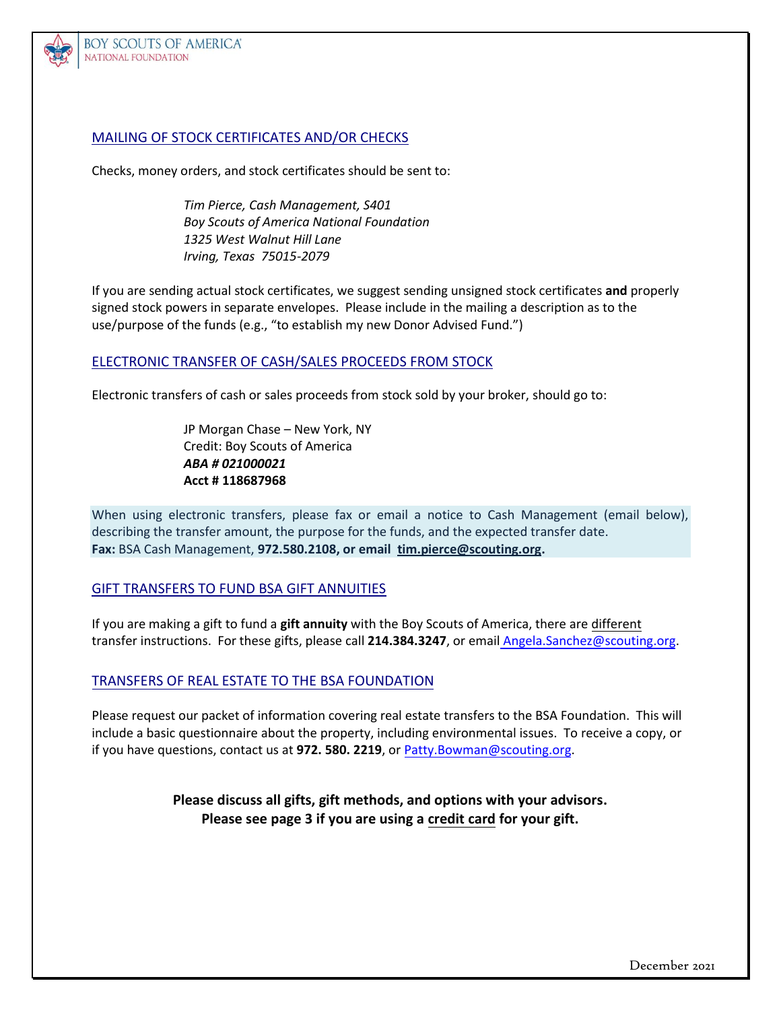

**BOY SCOUTS OF AMERICA®** NATIONAL FOUNDATION

### MAILING OF STOCK CERTIFICATES AND/OR CHECKS

Checks, money orders, and stock certificates should be sent to:

*Tim Pierce, Cash Management, S401 Boy Scouts of America National Foundation 1325 West Walnut Hill Lane Irving, Texas 75015-2079*

If you are sending actual stock certificates, we suggest sending unsigned stock certificates **and** properly signed stock powers in separate envelopes. Please include in the mailing a description as to the use/purpose of the funds (e.g., "to establish my new Donor Advised Fund.")

#### ELECTRONIC TRANSFER OF CASH/SALES PROCEEDS FROM STOCK

Electronic transfers of cash or sales proceeds from stock sold by your broker, should go to:

JP Morgan Chase – New York, NY Credit: Boy Scouts of America *ABA # 021000021* **Acct # 118687968**

When using electronic transfers, please fax or email a notice to Cash Management (email below), describing the transfer amount, the purpose for the funds, and the expected transfer date. **Fax:** BSA Cash Management, **972.580.2108, or email [tim.pierce@scouting.org.](mailto:tim.pierce@scouting.org)**

#### GIFT TRANSFERS TO FUND BSA GIFT ANNUITIES

If you are making a gift to fund a **gift annuity** with the Boy Scouts of America, there are different transfer instructions. For these gifts, please call **214.384.3247**, or email [Angela.Sanchez](mailto:Angela.Sanchez@scouting.org)@scouting.org.

#### TRANSFERS OF REAL ESTATE TO THE BSA FOUNDATION

Please request our packet of information covering real estate transfers to the BSA Foundation. This will include a basic questionnaire about the property, including environmental issues. To receive a copy, or if you have questions, contact us at **972. 580. 2219**, or [Patty.Bowman@scouting.org](mailto:Patty.Bowman@scouting.org).

> **Please discuss all gifts, gift methods, and options with your advisors. Please see page 3 if you are using a credit card for your gift.**